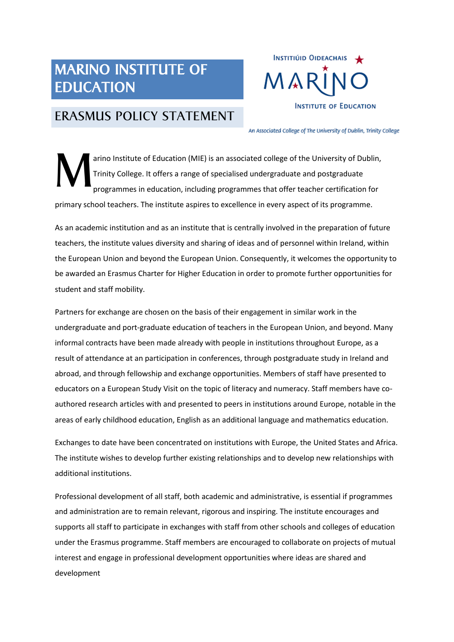## MARINO INSTITUTE OF EDUCATION



## ERASMUS POLICY STATEMENT

An Associated College of The University of Dublin, Trinity College

arino Institute of Education (MIE) is an associated college of the University of Dublin, Trinity College. It offers a range of specialised undergraduate and postgraduate programmes in education, including programmes that offer teacher certification for primary school teachers. The institute aspires to excellence in every aspect of its programme. M

As an academic institution and as an institute that is centrally involved in the preparation of future teachers, the institute values diversity and sharing of ideas and of personnel within Ireland, within the European Union and beyond the European Union. Consequently, it welcomes the opportunity to be awarded an Erasmus Charter for Higher Education in order to promote further opportunities for student and staff mobility.

Partners for exchange are chosen on the basis of their engagement in similar work in the undergraduate and port-graduate education of teachers in the European Union, and beyond. Many informal contracts have been made already with people in institutions throughout Europe, as a result of attendance at an participation in conferences, through postgraduate study in Ireland and abroad, and through fellowship and exchange opportunities. Members of staff have presented to educators on a European Study Visit on the topic of literacy and numeracy. Staff members have coauthored research articles with and presented to peers in institutions around Europe, notable in the areas of early childhood education, English as an additional language and mathematics education.

Exchanges to date have been concentrated on institutions with Europe, the United States and Africa. The institute wishes to develop further existing relationships and to develop new relationships with additional institutions.

Professional development of all staff, both academic and administrative, is essential if programmes and administration are to remain relevant, rigorous and inspiring. The institute encourages and supports all staff to participate in exchanges with staff from other schools and colleges of education under the Erasmus programme. Staff members are encouraged to collaborate on projects of mutual interest and engage in professional development opportunities where ideas are shared and development